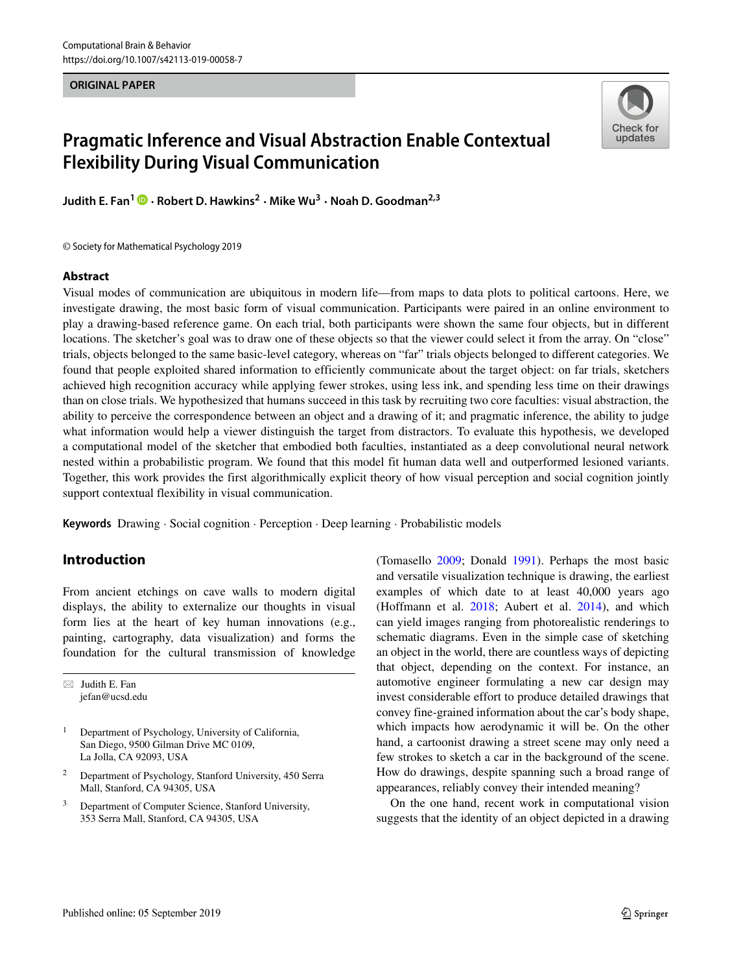#### **ORIGINAL PAPER**



# **Pragmatic Inference and Visual Abstraction Enable Contextual Flexibility During Visual Communication**

**Judith E. Fan<sup>1</sup> · Robert D. Hawkins2 · Mike Wu<sup>3</sup> · Noah D. Goodman2,3**

© Society for Mathematical Psychology 2019

## **Abstract**

Visual modes of communication are ubiquitous in modern life—from maps to data plots to political cartoons. Here, we investigate drawing, the most basic form of visual communication. Participants were paired in an online environment to play a drawing-based reference game. On each trial, both participants were shown the same four objects, but in different locations. The sketcher's goal was to draw one of these objects so that the viewer could select it from the array. On "close" trials, objects belonged to the same basic-level category, whereas on "far" trials objects belonged to different categories. We found that people exploited shared information to efficiently communicate about the target object: on far trials, sketchers achieved high recognition accuracy while applying fewer strokes, using less ink, and spending less time on their drawings than on close trials. We hypothesized that humans succeed in this task by recruiting two core faculties: visual abstraction, the ability to perceive the correspondence between an object and a drawing of it; and pragmatic inference, the ability to judge what information would help a viewer distinguish the target from distractors. To evaluate this hypothesis, we developed a computational model of the sketcher that embodied both faculties, instantiated as a deep convolutional neural network nested within a probabilistic program. We found that this model fit human data well and outperformed lesioned variants. Together, this work provides the first algorithmically explicit theory of how visual perception and social cognition jointly support contextual flexibility in visual communication.

**Keywords** Drawing · Social cognition · Perception · Deep learning · Probabilistic models

# **Introduction**

From ancient etchings on cave walls to modern digital displays, the ability to externalize our thoughts in visual form lies at the heart of key human innovations (e.g., painting, cartography, data visualization) and forms the foundation for the cultural transmission of knowledge

 $\boxtimes$  Judith E. Fan [jefan@ucsd.edu](mailto: jefan@ucsd.edu)

- <sup>1</sup> Department of Psychology, University of California, San Diego, 9500 Gilman Drive MC 0109, La Jolla, CA 92093, USA
- <sup>2</sup> Department of Psychology, Stanford University, 450 Serra Mall, Stanford, CA 94305, USA
- <sup>3</sup> Department of Computer Science, Stanford University, 353 Serra Mall, Stanford, CA 94305, USA

(Tomasello [2009;](#page-15-0) Donald [1991\)](#page-14-0). Perhaps the most basic and versatile visualization technique is drawing, the earliest examples of which date to at least 40,000 years ago (Hoffmann et al. [2018;](#page-15-1) Aubert et al. [2014\)](#page-14-1), and which can yield images ranging from photorealistic renderings to schematic diagrams. Even in the simple case of sketching an object in the world, there are countless ways of depicting that object, depending on the context. For instance, an automotive engineer formulating a new car design may invest considerable effort to produce detailed drawings that convey fine-grained information about the car's body shape, which impacts how aerodynamic it will be. On the other hand, a cartoonist drawing a street scene may only need a few strokes to sketch a car in the background of the scene. How do drawings, despite spanning such a broad range of appearances, reliably convey their intended meaning?

On the one hand, recent work in computational vision suggests that the identity of an object depicted in a drawing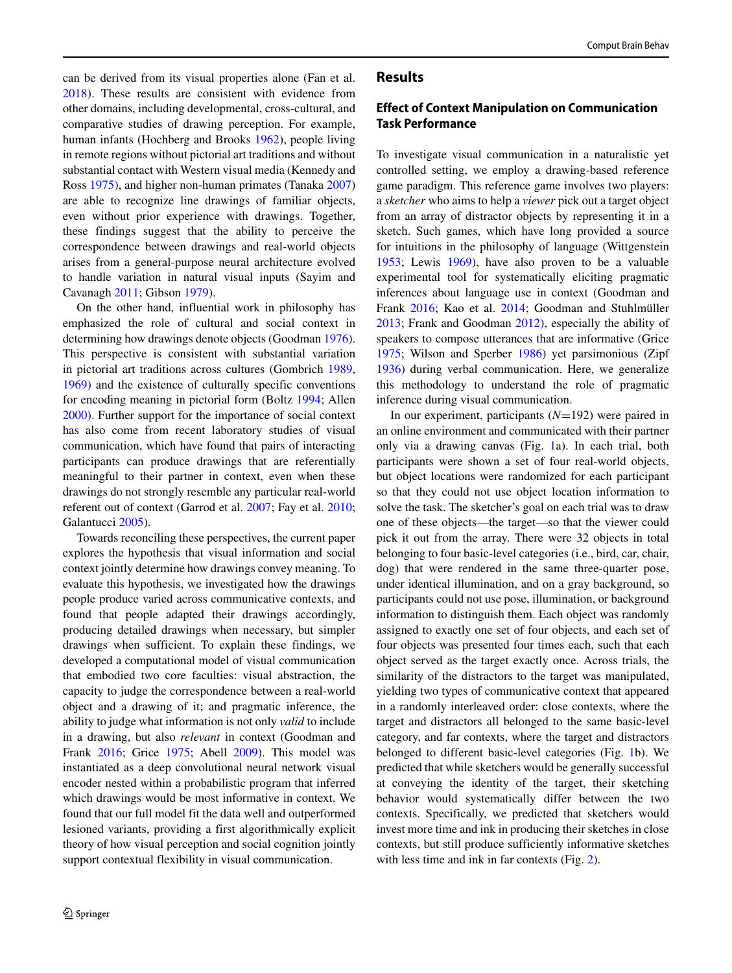can be derived from its visual properties alone (Fan et al. [2018\)](#page-14-2). These results are consistent with evidence from other domains, including developmental, cross-cultural, and comparative studies of drawing perception. For example, human infants (Hochberg and Brooks [1962\)](#page-15-2), people living in remote regions without pictorial art traditions and without substantial contact with Western visual media (Kennedy and Ross [1975\)](#page-15-3), and higher non-human primates (Tanaka [2007\)](#page-15-4) are able to recognize line drawings of familiar objects, even without prior experience with drawings. Together, these findings suggest that the ability to perceive the correspondence between drawings and real-world objects arises from a general-purpose neural architecture evolved to handle variation in natural visual inputs (Sayim and Cavanagh [2011;](#page-15-5) Gibson [1979\)](#page-14-3).

On the other hand, influential work in philosophy has emphasized the role of cultural and social context in determining how drawings denote objects (Goodman [1976\)](#page-14-4). This perspective is consistent with substantial variation in pictorial art traditions across cultures (Gombrich [1989,](#page-14-5) [1969\)](#page-14-6) and the existence of culturally specific conventions for encoding meaning in pictorial form (Boltz [1994;](#page-14-7) Allen [2000\)](#page-14-8). Further support for the importance of social context has also come from recent laboratory studies of visual communication, which have found that pairs of interacting participants can produce drawings that are referentially meaningful to their partner in context, even when these drawings do not strongly resemble any particular real-world referent out of context (Garrod et al. [2007;](#page-14-9) Fay et al. [2010;](#page-14-10) Galantucci [2005\)](#page-14-11).

Towards reconciling these perspectives, the current paper explores the hypothesis that visual information and social context jointly determine how drawings convey meaning. To evaluate this hypothesis, we investigated how the drawings people produce varied across communicative contexts, and found that people adapted their drawings accordingly, producing detailed drawings when necessary, but simpler drawings when sufficient. To explain these findings, we developed a computational model of visual communication that embodied two core faculties: visual abstraction, the capacity to judge the correspondence between a real-world object and a drawing of it; and pragmatic inference, the ability to judge what information is not only *valid* to include in a drawing, but also *relevant* in context (Goodman and Frank [2016;](#page-14-12) Grice [1975;](#page-14-13) Abell [2009\)](#page-14-14). This model was instantiated as a deep convolutional neural network visual encoder nested within a probabilistic program that inferred which drawings would be most informative in context. We found that our full model fit the data well and outperformed lesioned variants, providing a first algorithmically explicit theory of how visual perception and social cognition jointly support contextual flexibility in visual communication.

## **Results**

# **Effect of Context Manipulation on Communication Task Performance**

To investigate visual communication in a naturalistic yet controlled setting, we employ a drawing-based reference game paradigm. This reference game involves two players: a *sketcher* who aims to help a *viewer* pick out a target object from an array of distractor objects by representing it in a sketch. Such games, which have long provided a source for intuitions in the philosophy of language (Wittgenstein [1953;](#page-15-6) Lewis [1969\)](#page-15-7), have also proven to be a valuable experimental tool for systematically eliciting pragmatic inferences about language use in context (Goodman and Frank [2016;](#page-14-12) Kao et al. [2014;](#page-15-8) Goodman and Stuhlmüller [2013;](#page-14-15) Frank and Goodman [2012\)](#page-14-16), especially the ability of speakers to compose utterances that are informative (Grice [1975;](#page-14-13) Wilson and Sperber [1986\)](#page-15-9) yet parsimonious (Zipf [1936\)](#page-15-10) during verbal communication. Here, we generalize this methodology to understand the role of pragmatic inference during visual communication.

In our experiment, participants (*N*=192) were paired in an online environment and communicated with their partner only via a drawing canvas (Fig. [1a](#page-2-0)). In each trial, both participants were shown a set of four real-world objects, but object locations were randomized for each participant so that they could not use object location information to solve the task. The sketcher's goal on each trial was to draw one of these objects—the target—so that the viewer could pick it out from the array. There were 32 objects in total belonging to four basic-level categories (i.e., bird, car, chair, dog) that were rendered in the same three-quarter pose, under identical illumination, and on a gray background, so participants could not use pose, illumination, or background information to distinguish them. Each object was randomly assigned to exactly one set of four objects, and each set of four objects was presented four times each, such that each object served as the target exactly once. Across trials, the similarity of the distractors to the target was manipulated, yielding two types of communicative context that appeared in a randomly interleaved order: close contexts, where the target and distractors all belonged to the same basic-level category, and far contexts, where the target and distractors belonged to different basic-level categories (Fig. [1b](#page-2-0)). We predicted that while sketchers would be generally successful at conveying the identity of the target, their sketching behavior would systematically differ between the two contexts. Specifically, we predicted that sketchers would invest more time and ink in producing their sketches in close contexts, but still produce sufficiently informative sketches with less time and ink in far contexts (Fig. [2\)](#page-2-1).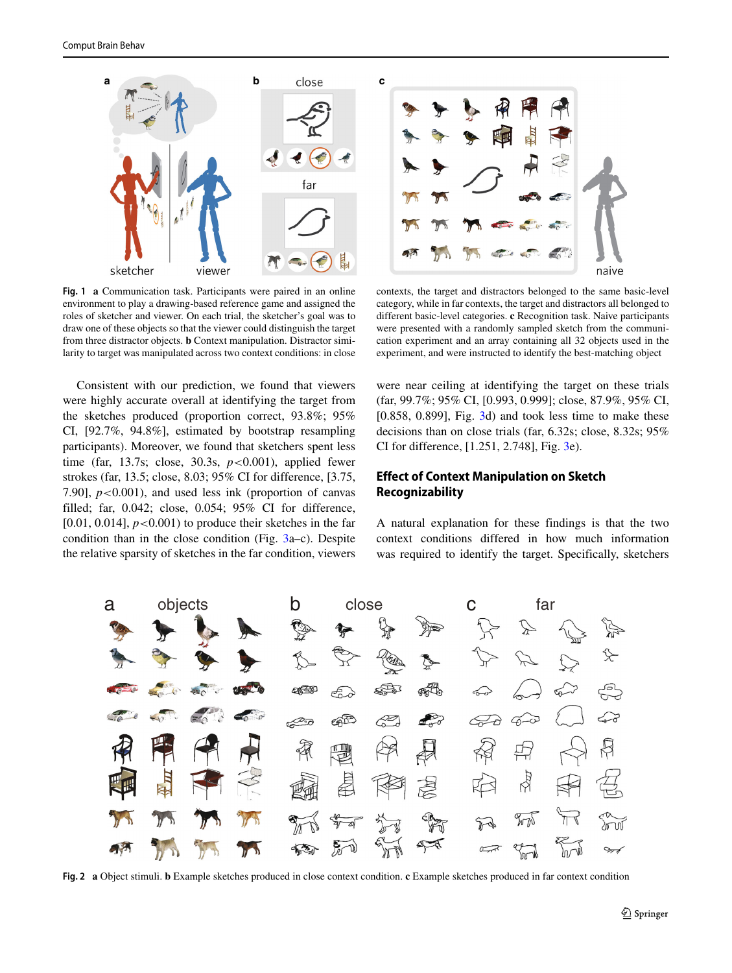<span id="page-2-0"></span>

**Fig. 1 a** Communication task. Participants were paired in an online environment to play a drawing-based reference game and assigned the roles of sketcher and viewer. On each trial, the sketcher's goal was to draw one of these objects so that the viewer could distinguish the target from three distractor objects. **b** Context manipulation. Distractor similarity to target was manipulated across two context conditions: in close

Consistent with our prediction, we found that viewers were highly accurate overall at identifying the target from the sketches produced (proportion correct, 93.8%; 95% CI, [92.7%, 94.8%], estimated by bootstrap resampling participants). Moreover, we found that sketchers spent less time (far, 13.7s; close, 30.3s, *p<*0.001), applied fewer strokes (far, 13.5; close, 8.03; 95% CI for difference, [3.75, 7.90], *p<*0.001), and used less ink (proportion of canvas filled; far, 0.042; close, 0.054; 95% CI for difference, [0.01, 0.014], *p<*0.001) to produce their sketches in the far condition than in the close condition (Fig. [3a](#page-3-0)–c). Despite the relative sparsity of sketches in the far condition, viewers



contexts, the target and distractors belonged to the same basic-level category, while in far contexts, the target and distractors all belonged to different basic-level categories. **c** Recognition task. Naive participants were presented with a randomly sampled sketch from the communication experiment and an array containing all 32 objects used in the experiment, and were instructed to identify the best-matching object

were near ceiling at identifying the target on these trials (far, 99.7%; 95% CI, [0.993, 0.999]; close, 87.9%, 95% CI,  $[0.858, 0.899]$ , Fig. [3d](#page-3-0)) and took less time to make these decisions than on close trials (far, 6.32s; close, 8.32s; 95% CI for difference, [1.251, 2.748], Fig. [3e](#page-3-0)).

# **Effect of Context Manipulation on Sketch Recognizability**

A natural explanation for these findings is that the two context conditions differed in how much information was required to identify the target. Specifically, sketchers

<span id="page-2-1"></span>

**Fig. 2 a** Object stimuli. **b** Example sketches produced in close context condition. **c** Example sketches produced in far context condition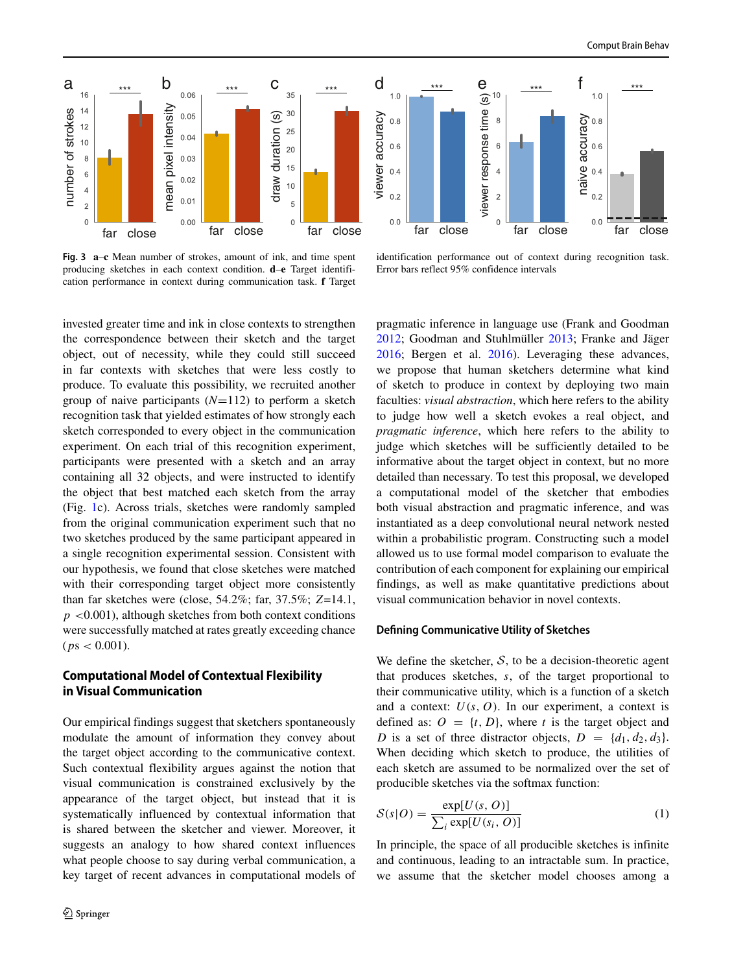<span id="page-3-0"></span>

\*\*\* \*\*\* viewer response time (s) viewer accuracy viewer accuracy far close far close naive accuracy  $0.8$  $0.6$  $0.4$  $0.2$  $0<sub>0</sub>$ far close

**Fig. 3 a**–**c** Mean number of strokes, amount of ink, and time spent producing sketches in each context condition. **d**–**e** Target identification performance in context during communication task. **f** Target

identification performance out of context during recognition task. Error bars reflect 95% confidence intervals

invested greater time and ink in close contexts to strengthen the correspondence between their sketch and the target object, out of necessity, while they could still succeed in far contexts with sketches that were less costly to produce. To evaluate this possibility, we recruited another group of naive participants (*N*=112) to perform a sketch recognition task that yielded estimates of how strongly each sketch corresponded to every object in the communication experiment. On each trial of this recognition experiment, participants were presented with a sketch and an array containing all 32 objects, and were instructed to identify the object that best matched each sketch from the array (Fig. [1c](#page-2-0)). Across trials, sketches were randomly sampled from the original communication experiment such that no two sketches produced by the same participant appeared in a single recognition experimental session. Consistent with our hypothesis, we found that close sketches were matched with their corresponding target object more consistently than far sketches were (close, 54.2%; far, 37.5%; *Z*=14.1, *p <*0.001), although sketches from both context conditions were successfully matched at rates greatly exceeding chance  $(ps < 0.001)$ .

# **Computational Model of Contextual Flexibility in Visual Communication**

Our empirical findings suggest that sketchers spontaneously modulate the amount of information they convey about the target object according to the communicative context. Such contextual flexibility argues against the notion that visual communication is constrained exclusively by the appearance of the target object, but instead that it is systematically influenced by contextual information that is shared between the sketcher and viewer. Moreover, it suggests an analogy to how shared context influences what people choose to say during verbal communication, a key target of recent advances in computational models of pragmatic inference in language use (Frank and Goodman  $2012$ ; Goodman and Stuhlmüller  $2013$ ; Franke and Jäger [2016;](#page-14-17) Bergen et al. [2016\)](#page-14-18). Leveraging these advances, we propose that human sketchers determine what kind of sketch to produce in context by deploying two main faculties: *visual abstraction*, which here refers to the ability to judge how well a sketch evokes a real object, and *pragmatic inference*, which here refers to the ability to judge which sketches will be sufficiently detailed to be informative about the target object in context, but no more detailed than necessary. To test this proposal, we developed a computational model of the sketcher that embodies both visual abstraction and pragmatic inference, and was instantiated as a deep convolutional neural network nested within a probabilistic program. Constructing such a model allowed us to use formal model comparison to evaluate the contribution of each component for explaining our empirical findings, as well as make quantitative predictions about visual communication behavior in novel contexts.

#### **Defining Communicative Utility of Sketches**

We define the sketcher,  $S$ , to be a decision-theoretic agent that produces sketches, *s*, of the target proportional to their communicative utility, which is a function of a sketch and a context:  $U(s, 0)$ . In our experiment, a context is defined as:  $O = \{t, D\}$ , where *t* is the target object and *D* is a set of three distractor objects,  $D = \{d_1, d_2, d_3\}.$ When deciding which sketch to produce, the utilities of each sketch are assumed to be normalized over the set of producible sketches via the softmax function:

$$
S(s|O) = \frac{\exp[U(s, O)]}{\sum_{i} \exp[U(s_i, O)]}
$$
 (1)

In principle, the space of all producible sketches is infinite and continuous, leading to an intractable sum. In practice, we assume that the sketcher model chooses among a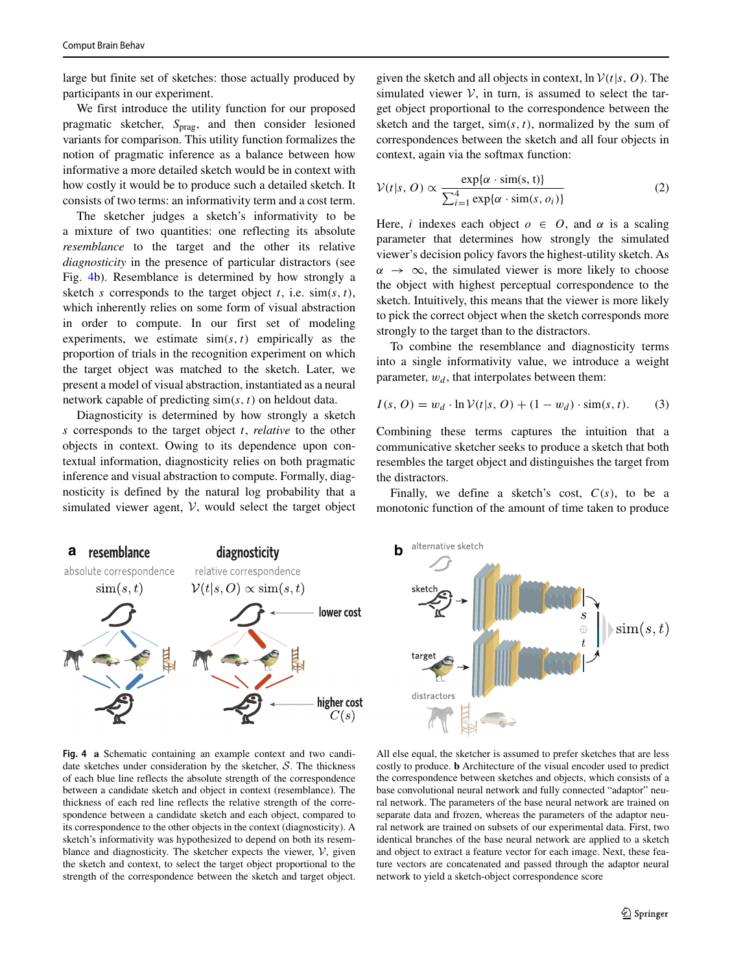large but finite set of sketches: those actually produced by participants in our experiment.

We first introduce the utility function for our proposed pragmatic sketcher, *S*prag, and then consider lesioned variants for comparison. This utility function formalizes the notion of pragmatic inference as a balance between how informative a more detailed sketch would be in context with how costly it would be to produce such a detailed sketch. It consists of two terms: an informativity term and a cost term.

The sketcher judges a sketch's informativity to be a mixture of two quantities: one reflecting its absolute *resemblance* to the target and the other its relative *diagnosticity* in the presence of particular distractors (see Fig. [4b](#page-4-0)). Resemblance is determined by how strongly a sketch *s* corresponds to the target object *t*, i.e. sim*(s, t)*, which inherently relies on some form of visual abstraction in order to compute. In our first set of modeling experiments, we estimate  $\sin(s, t)$  empirically as the proportion of trials in the recognition experiment on which the target object was matched to the sketch. Later, we present a model of visual abstraction, instantiated as a neural network capable of predicting sim*(s, t)* on heldout data.

Diagnosticity is determined by how strongly a sketch *s* corresponds to the target object *t*, *relative* to the other objects in context. Owing to its dependence upon contextual information, diagnosticity relies on both pragmatic inference and visual abstraction to compute. Formally, diagnosticity is defined by the natural log probability that a simulated viewer agent,  $V$ , would select the target object given the sketch and all objects in context,  $\ln \mathcal{V}(t|s, 0)$ . The simulated viewer  $V$ , in turn, is assumed to select the target object proportional to the correspondence between the sketch and the target, sim*(s, t)*, normalized by the sum of correspondences between the sketch and all four objects in context, again via the softmax function:

$$
\mathcal{V}(t|s, O) \propto \frac{\exp\{\alpha \cdot \text{sim}(s, t)\}}{\sum_{i=1}^{4} \exp\{\alpha \cdot \text{sim}(s, o_i)\}}
$$
(2)

Here, *i* indexes each object  $o \in O$ , and  $\alpha$  is a scaling parameter that determines how strongly the simulated viewer's decision policy favors the highest-utility sketch. As  $\alpha \rightarrow \infty$ , the simulated viewer is more likely to choose the object with highest perceptual correspondence to the sketch. Intuitively, this means that the viewer is more likely to pick the correct object when the sketch corresponds more strongly to the target than to the distractors.

To combine the resemblance and diagnosticity terms into a single informativity value, we introduce a weight parameter,  $w_d$ , that interpolates between them:

$$
I(s, O) = w_d \cdot \ln \mathcal{V}(t|s, O) + (1 - w_d) \cdot \text{sim}(s, t). \tag{3}
$$

Combining these terms captures the intuition that a communicative sketcher seeks to produce a sketch that both resembles the target object and distinguishes the target from the distractors.

Finally, we define a sketch's cost, *C(s)*, to be a monotonic function of the amount of time taken to produce

<span id="page-4-0"></span>

**Fig. 4 a** Schematic containing an example context and two candidate sketches under consideration by the sketcher,  $S$ . The thickness of each blue line reflects the absolute strength of the correspondence between a candidate sketch and object in context (resemblance). The thickness of each red line reflects the relative strength of the correspondence between a candidate sketch and each object, compared to its correspondence to the other objects in the context (diagnosticity). A sketch's informativity was hypothesized to depend on both its resemblance and diagnosticity. The sketcher expects the viewer,  $V$ , given the sketch and context, to select the target object proportional to the strength of the correspondence between the sketch and target object.

All else equal, the sketcher is assumed to prefer sketches that are less costly to produce. **b** Architecture of the visual encoder used to predict the correspondence between sketches and objects, which consists of a base convolutional neural network and fully connected "adaptor" neural network. The parameters of the base neural network are trained on separate data and frozen, whereas the parameters of the adaptor neural network are trained on subsets of our experimental data. First, two identical branches of the base neural network are applied to a sketch and object to extract a feature vector for each image. Next, these feature vectors are concatenated and passed through the adaptor neural network to yield a sketch-object correspondence score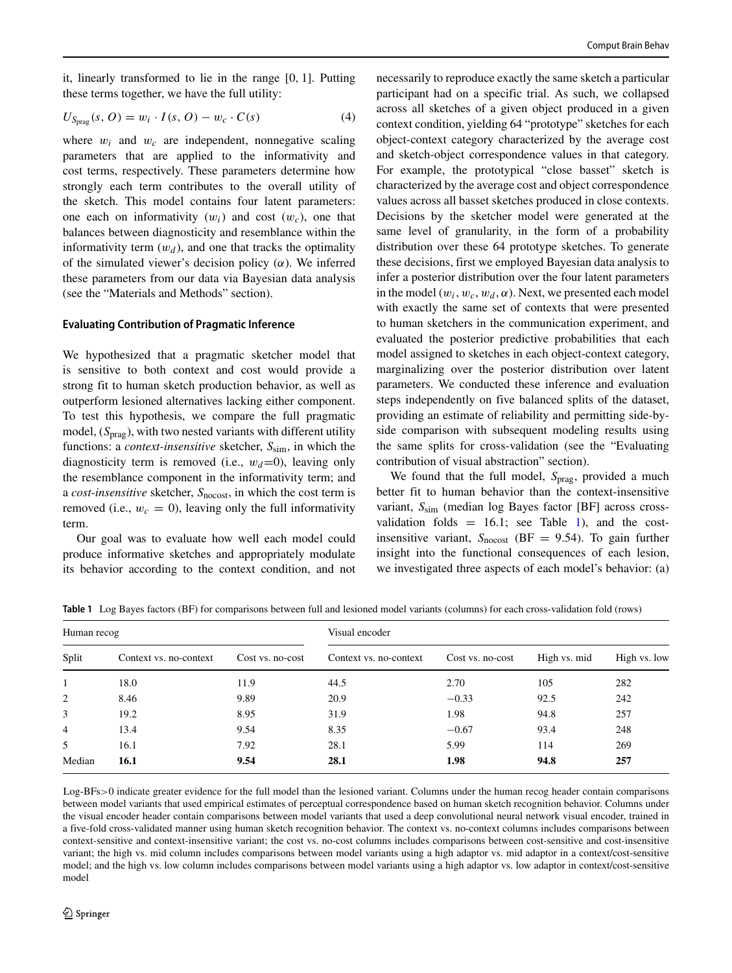it, linearly transformed to lie in the range [0*,* 1]. Putting these terms together, we have the full utility:

$$
U_{S_{\text{prag}}}(s, O) = w_i \cdot I(s, O) - w_c \cdot C(s)
$$
\n<sup>(4)</sup>

where  $w_i$  and  $w_c$  are independent, nonnegative scaling parameters that are applied to the informativity and cost terms, respectively. These parameters determine how strongly each term contributes to the overall utility of the sketch. This model contains four latent parameters: one each on informativity  $(w_i)$  and cost  $(w_c)$ , one that balances between diagnosticity and resemblance within the informativity term  $(w_d)$ , and one that tracks the optimality of the simulated viewer's decision policy  $(\alpha)$ . We inferred these parameters from our data via Bayesian data analysis (see the "Materials and Methods" section).

## **Evaluating Contribution of Pragmatic Inference**

We hypothesized that a pragmatic sketcher model that is sensitive to both context and cost would provide a strong fit to human sketch production behavior, as well as outperform lesioned alternatives lacking either component. To test this hypothesis, we compare the full pragmatic model, (*S*prag), with two nested variants with different utility functions: a *context-insensitive* sketcher,  $S_{sim}$ , in which the diagnosticity term is removed (i.e.,  $w_d=0$ ), leaving only the resemblance component in the informativity term; and a *cost-insensitive* sketcher, *S*nocost, in which the cost term is removed (i.e.,  $w_c = 0$ ), leaving only the full informativity term.

Our goal was to evaluate how well each model could produce informative sketches and appropriately modulate its behavior according to the context condition, and not necessarily to reproduce exactly the same sketch a particular participant had on a specific trial. As such, we collapsed across all sketches of a given object produced in a given context condition, yielding 64 "prototype" sketches for each object-context category characterized by the average cost and sketch-object correspondence values in that category. For example, the prototypical "close basset" sketch is characterized by the average cost and object correspondence values across all basset sketches produced in close contexts. Decisions by the sketcher model were generated at the same level of granularity, in the form of a probability distribution over these 64 prototype sketches. To generate these decisions, first we employed Bayesian data analysis to infer a posterior distribution over the four latent parameters in the model  $(w_i, w_c, w_d, \alpha)$ . Next, we presented each model with exactly the same set of contexts that were presented to human sketchers in the communication experiment, and evaluated the posterior predictive probabilities that each model assigned to sketches in each object-context category, marginalizing over the posterior distribution over latent parameters. We conducted these inference and evaluation steps independently on five balanced splits of the dataset, providing an estimate of reliability and permitting side-byside comparison with subsequent modeling results using the same splits for cross-validation (see the "Evaluating contribution of visual abstraction" section).

We found that the full model, S<sub>prag</sub>, provided a much better fit to human behavior than the context-insensitive variant, *S*sim (median log Bayes factor [BF] across crossvalidation folds  $= 16.1$ ; see Table [1\)](#page-5-0), and the costinsensitive variant,  $S_{\text{nocost}}$  (BF = 9.54). To gain further insight into the functional consequences of each lesion, we investigated three aspects of each model's behavior: (a)

<span id="page-5-0"></span>**Table 1** Log Bayes factors (BF) for comparisons between full and lesioned model variants (columns) for each cross-validation fold (rows)

| Human recog    |                        |                  | Visual encoder         |                  |              |              |
|----------------|------------------------|------------------|------------------------|------------------|--------------|--------------|
| Split          | Context vs. no-context | Cost vs. no-cost | Context vs. no-context | Cost vs. no-cost | High vs. mid | High vs. low |
|                | 18.0                   | 11.9             | 44.5                   | 2.70             | 105          | 282          |
| 2              | 8.46                   | 9.89             | 20.9                   | $-0.33$          | 92.5         | 242          |
| 3              | 19.2                   | 8.95             | 31.9                   | 1.98             | 94.8         | 257          |
| $\overline{4}$ | 13.4                   | 9.54             | 8.35                   | $-0.67$          | 93.4         | 248          |
| 5.             | 16.1                   | 7.92             | 28.1                   | 5.99             | 114          | 269          |
| Median         | 16.1                   | 9.54             | 28.1                   | 1.98             | 94.8         | 257          |

Log-BFs*>*0 indicate greater evidence for the full model than the lesioned variant. Columns under the human recog header contain comparisons between model variants that used empirical estimates of perceptual correspondence based on human sketch recognition behavior. Columns under the visual encoder header contain comparisons between model variants that used a deep convolutional neural network visual encoder, trained in a five-fold cross-validated manner using human sketch recognition behavior. The context vs. no-context columns includes comparisons between context-sensitive and context-insensitive variant; the cost vs. no-cost columns includes comparisons between cost-sensitive and cost-insensitive variant; the high vs. mid column includes comparisons between model variants using a high adaptor vs. mid adaptor in a context/cost-sensitive model; and the high vs. low column includes comparisons between model variants using a high adaptor vs. low adaptor in context/cost-sensitive model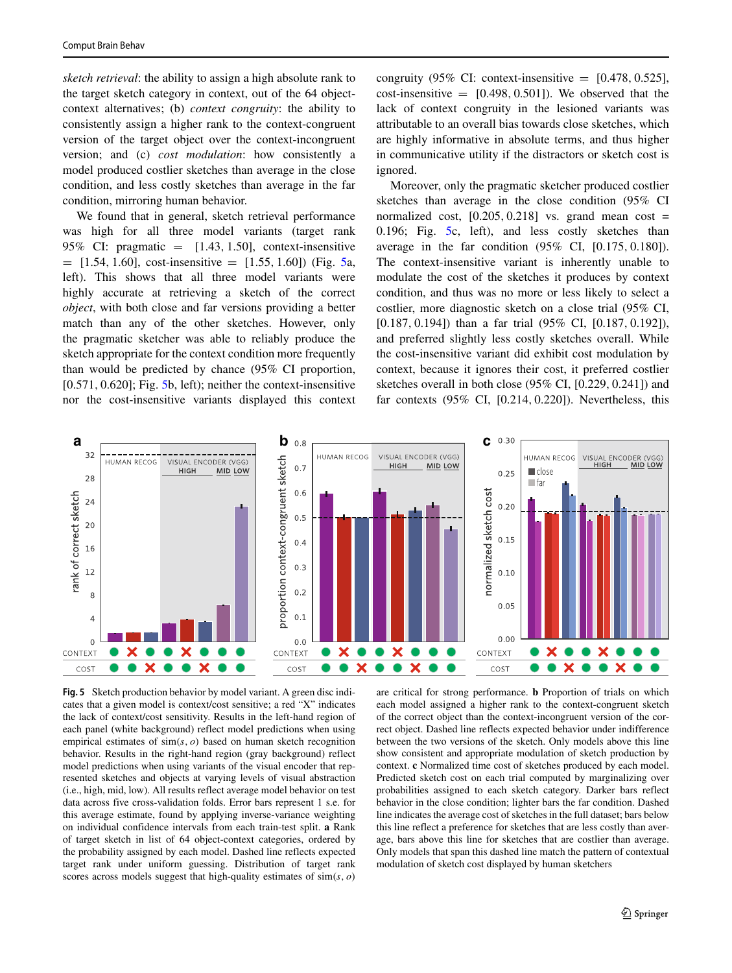*sketch retrieval*: the ability to assign a high absolute rank to the target sketch category in context, out of the 64 objectcontext alternatives; (b) *context congruity*: the ability to consistently assign a higher rank to the context-congruent version of the target object over the context-incongruent version; and (c) *cost modulation*: how consistently a model produced costlier sketches than average in the close condition, and less costly sketches than average in the far condition, mirroring human behavior.

We found that in general, sketch retrieval performance was high for all three model variants (target rank 95% CI: pragmatic = [1.43*,* 1.50], context-insensitive = [1.54*,* 1.60], cost-insensitive = [1.55*,* 1.60]) (Fig. [5a](#page-6-0), left). This shows that all three model variants were highly accurate at retrieving a sketch of the correct *object*, with both close and far versions providing a better match than any of the other sketches. However, only the pragmatic sketcher was able to reliably produce the sketch appropriate for the context condition more frequently than would be predicted by chance (95% CI proportion, [0.571, 0.620]; Fig. [5b](#page-6-0), left); neither the context-insensitive nor the cost-insensitive variants displayed this context congruity (95% CI: context-insensitive = [0.478*,* 0.525], cost-insensitive = [0.498*,* 0.501]). We observed that the lack of context congruity in the lesioned variants was attributable to an overall bias towards close sketches, which are highly informative in absolute terms, and thus higher in communicative utility if the distractors or sketch cost is ignored.

Moreover, only the pragmatic sketcher produced costlier sketches than average in the close condition (95% CI normalized cost,  $[0.205, 0.218]$  vs. grand mean cost = 0.196; Fig. [5c](#page-6-0), left), and less costly sketches than average in the far condition (95% CI, [0.175*,* 0.180]). The context-insensitive variant is inherently unable to modulate the cost of the sketches it produces by context condition, and thus was no more or less likely to select a costlier, more diagnostic sketch on a close trial (95% CI, [0.187*,* 0.194]) than a far trial (95% CI, [0.187*,* 0.192]), and preferred slightly less costly sketches overall. While the cost-insensitive variant did exhibit cost modulation by context, because it ignores their cost, it preferred costlier sketches overall in both close (95% CI, [0.229*,* 0.241]) and far contexts (95% CI, [0.214*,* 0.220]). Nevertheless, this

<span id="page-6-0"></span>

**Fig. 5** Sketch production behavior by model variant. A green disc indicates that a given model is context/cost sensitive; a red "X" indicates the lack of context/cost sensitivity. Results in the left-hand region of each panel (white background) reflect model predictions when using empirical estimates of sim*(s, o)* based on human sketch recognition behavior. Results in the right-hand region (gray background) reflect model predictions when using variants of the visual encoder that represented sketches and objects at varying levels of visual abstraction (i.e., high, mid, low). All results reflect average model behavior on test data across five cross-validation folds. Error bars represent 1 s.e. for this average estimate, found by applying inverse-variance weighting on individual confidence intervals from each train-test split. **a** Rank of target sketch in list of 64 object-context categories, ordered by the probability assigned by each model. Dashed line reflects expected target rank under uniform guessing. Distribution of target rank scores across models suggest that high-quality estimates of sim*(s, o)* are critical for strong performance. **b** Proportion of trials on which each model assigned a higher rank to the context-congruent sketch of the correct object than the context-incongruent version of the correct object. Dashed line reflects expected behavior under indifference between the two versions of the sketch. Only models above this line show consistent and appropriate modulation of sketch production by context. **c** Normalized time cost of sketches produced by each model. Predicted sketch cost on each trial computed by marginalizing over probabilities assigned to each sketch category. Darker bars reflect behavior in the close condition; lighter bars the far condition. Dashed line indicates the average cost of sketches in the full dataset; bars below this line reflect a preference for sketches that are less costly than average, bars above this line for sketches that are costlier than average. Only models that span this dashed line match the pattern of contextual modulation of sketch cost displayed by human sketchers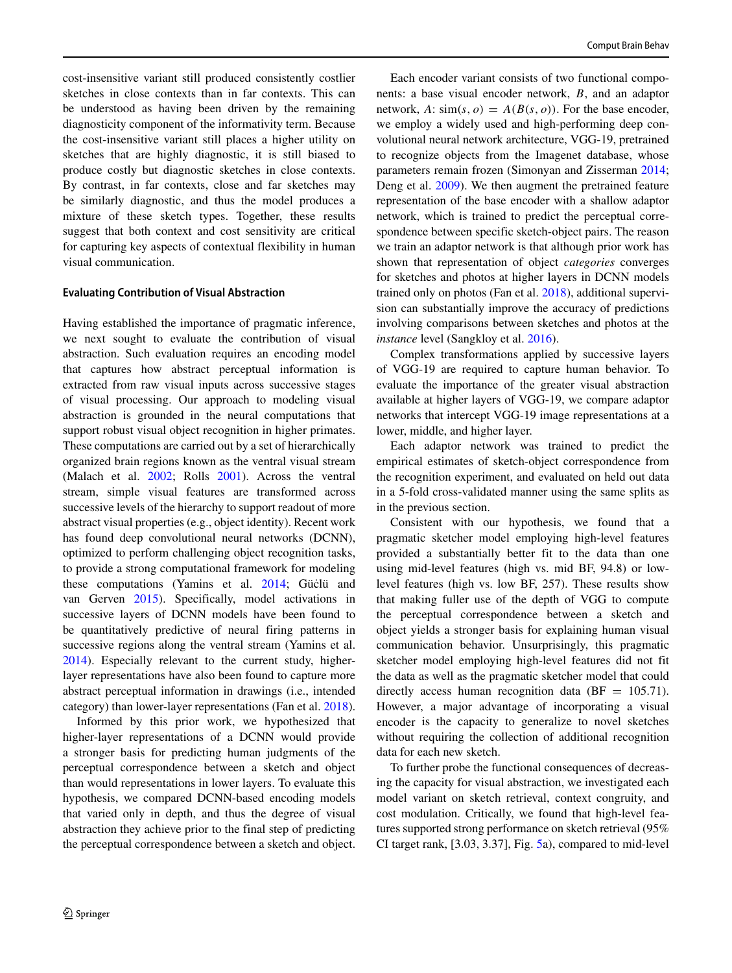cost-insensitive variant still produced consistently costlier sketches in close contexts than in far contexts. This can be understood as having been driven by the remaining diagnosticity component of the informativity term. Because the cost-insensitive variant still places a higher utility on sketches that are highly diagnostic, it is still biased to produce costly but diagnostic sketches in close contexts. By contrast, in far contexts, close and far sketches may be similarly diagnostic, and thus the model produces a mixture of these sketch types. Together, these results suggest that both context and cost sensitivity are critical for capturing key aspects of contextual flexibility in human visual communication.

## **Evaluating Contribution of Visual Abstraction**

Having established the importance of pragmatic inference, we next sought to evaluate the contribution of visual abstraction. Such evaluation requires an encoding model that captures how abstract perceptual information is extracted from raw visual inputs across successive stages of visual processing. Our approach to modeling visual abstraction is grounded in the neural computations that support robust visual object recognition in higher primates. These computations are carried out by a set of hierarchically organized brain regions known as the ventral visual stream (Malach et al. [2002;](#page-15-11) Rolls [2001\)](#page-15-12). Across the ventral stream, simple visual features are transformed across successive levels of the hierarchy to support readout of more abstract visual properties (e.g., object identity). Recent work has found deep convolutional neural networks (DCNN), optimized to perform challenging object recognition tasks, to provide a strong computational framework for modeling these computations (Yamins et al. [2014;](#page-15-13) Güclü and van Gerven [2015\)](#page-15-14). Specifically, model activations in successive layers of DCNN models have been found to be quantitatively predictive of neural firing patterns in successive regions along the ventral stream (Yamins et al. [2014\)](#page-15-13). Especially relevant to the current study, higherlayer representations have also been found to capture more abstract perceptual information in drawings (i.e., intended category) than lower-layer representations (Fan et al. [2018\)](#page-14-2).

Informed by this prior work, we hypothesized that higher-layer representations of a DCNN would provide a stronger basis for predicting human judgments of the perceptual correspondence between a sketch and object than would representations in lower layers. To evaluate this hypothesis, we compared DCNN-based encoding models that varied only in depth, and thus the degree of visual abstraction they achieve prior to the final step of predicting the perceptual correspondence between a sketch and object.

Each encoder variant consists of two functional components: a base visual encoder network, *B*, and an adaptor network,  $A: \text{sim}(s, o) = A(B(s, o))$ . For the base encoder, we employ a widely used and high-performing deep convolutional neural network architecture, VGG-19, pretrained to recognize objects from the Imagenet database, whose parameters remain frozen (Simonyan and Zisserman [2014;](#page-15-15) Deng et al. [2009\)](#page-14-19). We then augment the pretrained feature representation of the base encoder with a shallow adaptor network, which is trained to predict the perceptual correspondence between specific sketch-object pairs. The reason we train an adaptor network is that although prior work has shown that representation of object *categories* converges for sketches and photos at higher layers in DCNN models trained only on photos (Fan et al. [2018\)](#page-14-2), additional supervision can substantially improve the accuracy of predictions involving comparisons between sketches and photos at the *instance* level (Sangkloy et al. [2016\)](#page-15-16).

Complex transformations applied by successive layers of VGG-19 are required to capture human behavior. To evaluate the importance of the greater visual abstraction available at higher layers of VGG-19, we compare adaptor networks that intercept VGG-19 image representations at a lower, middle, and higher layer.

Each adaptor network was trained to predict the empirical estimates of sketch-object correspondence from the recognition experiment, and evaluated on held out data in a 5-fold cross-validated manner using the same splits as in the previous section.

Consistent with our hypothesis, we found that a pragmatic sketcher model employing high-level features provided a substantially better fit to the data than one using mid-level features (high vs. mid BF, 94.8) or lowlevel features (high vs. low BF, 257). These results show that making fuller use of the depth of VGG to compute the perceptual correspondence between a sketch and object yields a stronger basis for explaining human visual communication behavior. Unsurprisingly, this pragmatic sketcher model employing high-level features did not fit the data as well as the pragmatic sketcher model that could directly access human recognition data ( $BF = 105.71$ ). However, a major advantage of incorporating a visual encoder is the capacity to generalize to novel sketches without requiring the collection of additional recognition data for each new sketch.

To further probe the functional consequences of decreasing the capacity for visual abstraction, we investigated each model variant on sketch retrieval, context congruity, and cost modulation. Critically, we found that high-level features supported strong performance on sketch retrieval (95% CI target rank, [3.03*,* 3.37], Fig. [5a](#page-6-0)), compared to mid-level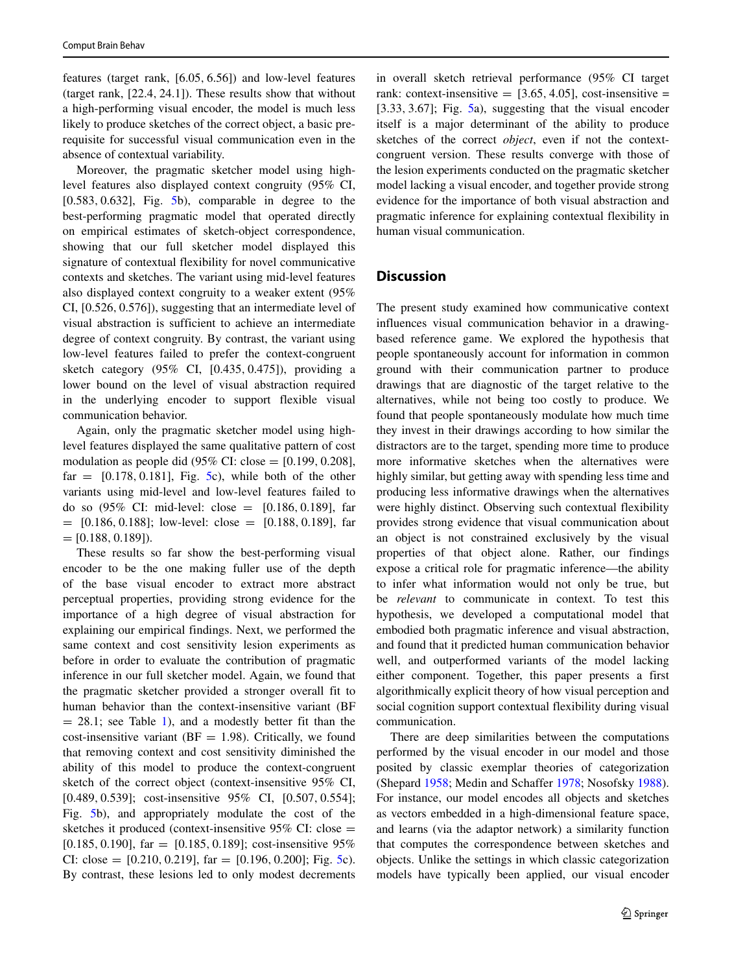features (target rank, [6.05*,* 6.56]) and low-level features (target rank, [22.4*,* 24.1]). These results show that without a high-performing visual encoder, the model is much less likely to produce sketches of the correct object, a basic prerequisite for successful visual communication even in the absence of contextual variability.

Moreover, the pragmatic sketcher model using highlevel features also displayed context congruity (95% CI, [0.583*,* 0.632], Fig. [5b](#page-6-0)), comparable in degree to the best-performing pragmatic model that operated directly on empirical estimates of sketch-object correspondence, showing that our full sketcher model displayed this signature of contextual flexibility for novel communicative contexts and sketches. The variant using mid-level features also displayed context congruity to a weaker extent (95% CI, [0.526*,* 0.576]), suggesting that an intermediate level of visual abstraction is sufficient to achieve an intermediate degree of context congruity. By contrast, the variant using low-level features failed to prefer the context-congruent sketch category (95% CI, [0.435*,* 0.475]), providing a lower bound on the level of visual abstraction required in the underlying encoder to support flexible visual communication behavior.

Again, only the pragmatic sketcher model using highlevel features displayed the same qualitative pattern of cost modulation as people did (95% CI: close = [0.199*,* 0.208],  $far = [0.178, 0.181]$ , Fig. [5c](#page-6-0)), while both of the other variants using mid-level and low-level features failed to do so (95% CI: mid-level: close = [0.186*,* 0.189], far = [0.186*,* 0.188]; low-level: close = [0.188*,* 0.189], far = [0.188*,* 0.189]).

These results so far show the best-performing visual encoder to be the one making fuller use of the depth of the base visual encoder to extract more abstract perceptual properties, providing strong evidence for the importance of a high degree of visual abstraction for explaining our empirical findings. Next, we performed the same context and cost sensitivity lesion experiments as before in order to evaluate the contribution of pragmatic inference in our full sketcher model. Again, we found that the pragmatic sketcher provided a stronger overall fit to human behavior than the context-insensitive variant (BF  $= 28.1$ ; see Table [1\)](#page-5-0), and a modestly better fit than the cost-insensitive variant ( $BF = 1.98$ ). Critically, we found that removing context and cost sensitivity diminished the ability of this model to produce the context-congruent sketch of the correct object (context-insensitive 95% CI, [0.489*,* 0.539]; cost-insensitive 95% CI, [0.507*,* 0.554]; Fig. [5b](#page-6-0)), and appropriately modulate the cost of the sketches it produced (context-insensitive  $95\%$  CI: close = [0.185*,* 0.190], far = [0.185*,* 0.189]; cost-insensitive 95% CI: close = [0.210*,* 0.219], far = [0.196*,* 0.200]; Fig. [5c](#page-6-0)). By contrast, these lesions led to only modest decrements in overall sketch retrieval performance (95% CI target rank: context-insensitive  $=$  [3.65, 4.05], cost-insensitive  $=$ [3.33*,* 3.67]; Fig. [5a](#page-6-0)), suggesting that the visual encoder itself is a major determinant of the ability to produce sketches of the correct *object*, even if not the contextcongruent version. These results converge with those of the lesion experiments conducted on the pragmatic sketcher model lacking a visual encoder, and together provide strong evidence for the importance of both visual abstraction and pragmatic inference for explaining contextual flexibility in human visual communication.

# **Discussion**

The present study examined how communicative context influences visual communication behavior in a drawingbased reference game. We explored the hypothesis that people spontaneously account for information in common ground with their communication partner to produce drawings that are diagnostic of the target relative to the alternatives, while not being too costly to produce. We found that people spontaneously modulate how much time they invest in their drawings according to how similar the distractors are to the target, spending more time to produce more informative sketches when the alternatives were highly similar, but getting away with spending less time and producing less informative drawings when the alternatives were highly distinct. Observing such contextual flexibility provides strong evidence that visual communication about an object is not constrained exclusively by the visual properties of that object alone. Rather, our findings expose a critical role for pragmatic inference—the ability to infer what information would not only be true, but be *relevant* to communicate in context. To test this hypothesis, we developed a computational model that embodied both pragmatic inference and visual abstraction, and found that it predicted human communication behavior well, and outperformed variants of the model lacking either component. Together, this paper presents a first algorithmically explicit theory of how visual perception and social cognition support contextual flexibility during visual communication.

There are deep similarities between the computations performed by the visual encoder in our model and those posited by classic exemplar theories of categorization (Shepard [1958;](#page-15-17) Medin and Schaffer [1978;](#page-15-18) Nosofsky [1988\)](#page-15-19). For instance, our model encodes all objects and sketches as vectors embedded in a high-dimensional feature space, and learns (via the adaptor network) a similarity function that computes the correspondence between sketches and objects. Unlike the settings in which classic categorization models have typically been applied, our visual encoder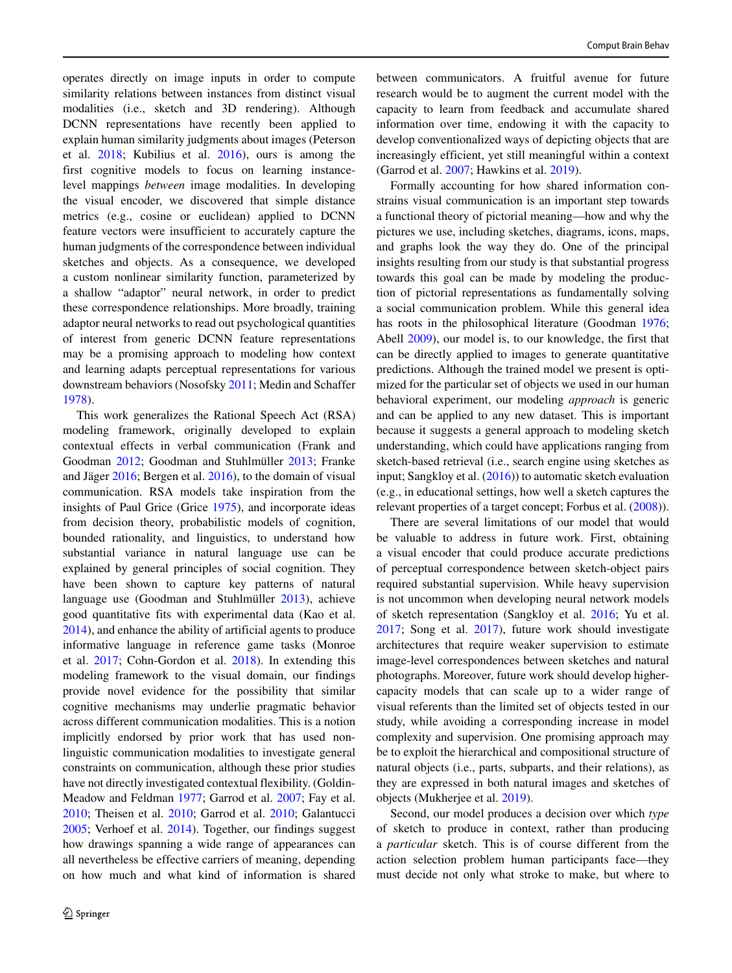operates directly on image inputs in order to compute similarity relations between instances from distinct visual modalities (i.e., sketch and 3D rendering). Although DCNN representations have recently been applied to explain human similarity judgments about images (Peterson et al. [2018;](#page-15-20) Kubilius et al. [2016\)](#page-15-21), ours is among the first cognitive models to focus on learning instancelevel mappings *between* image modalities. In developing the visual encoder, we discovered that simple distance metrics (e.g., cosine or euclidean) applied to DCNN feature vectors were insufficient to accurately capture the human judgments of the correspondence between individual sketches and objects. As a consequence, we developed a custom nonlinear similarity function, parameterized by a shallow "adaptor" neural network, in order to predict these correspondence relationships. More broadly, training adaptor neural networks to read out psychological quantities of interest from generic DCNN feature representations may be a promising approach to modeling how context and learning adapts perceptual representations for various downstream behaviors (Nosofsky [2011;](#page-15-22) Medin and Schaffer [1978\)](#page-15-18).

This work generalizes the Rational Speech Act (RSA) modeling framework, originally developed to explain contextual effects in verbal communication (Frank and Goodman [2012;](#page-14-16) Goodman and Stuhlmüller [2013;](#page-14-15) Franke and Jäger  $2016$ ; Bergen et al.  $2016$ ), to the domain of visual communication. RSA models take inspiration from the insights of Paul Grice (Grice [1975\)](#page-14-13), and incorporate ideas from decision theory, probabilistic models of cognition, bounded rationality, and linguistics, to understand how substantial variance in natural language use can be explained by general principles of social cognition. They have been shown to capture key patterns of natural language use (Goodman and Stuhlmüller [2013\)](#page-14-15), achieve good quantitative fits with experimental data (Kao et al. [2014\)](#page-15-8), and enhance the ability of artificial agents to produce informative language in reference game tasks (Monroe et al. [2017;](#page-15-23) Cohn-Gordon et al. [2018\)](#page-14-20). In extending this modeling framework to the visual domain, our findings provide novel evidence for the possibility that similar cognitive mechanisms may underlie pragmatic behavior across different communication modalities. This is a notion implicitly endorsed by prior work that has used nonlinguistic communication modalities to investigate general constraints on communication, although these prior studies have not directly investigated contextual flexibility. (Goldin-Meadow and Feldman [1977;](#page-14-21) Garrod et al. [2007;](#page-14-9) Fay et al. [2010;](#page-14-10) Theisen et al. [2010;](#page-15-24) Garrod et al. [2010;](#page-14-22) Galantucci [2005;](#page-14-11) Verhoef et al. [2014\)](#page-15-25). Together, our findings suggest how drawings spanning a wide range of appearances can all nevertheless be effective carriers of meaning, depending on how much and what kind of information is shared between communicators. A fruitful avenue for future research would be to augment the current model with the capacity to learn from feedback and accumulate shared information over time, endowing it with the capacity to develop conventionalized ways of depicting objects that are increasingly efficient, yet still meaningful within a context (Garrod et al. [2007;](#page-14-9) Hawkins et al. [2019\)](#page-15-26).

Formally accounting for how shared information constrains visual communication is an important step towards a functional theory of pictorial meaning—how and why the pictures we use, including sketches, diagrams, icons, maps, and graphs look the way they do. One of the principal insights resulting from our study is that substantial progress towards this goal can be made by modeling the production of pictorial representations as fundamentally solving a social communication problem. While this general idea has roots in the philosophical literature (Goodman [1976;](#page-14-4) Abell [2009\)](#page-14-14), our model is, to our knowledge, the first that can be directly applied to images to generate quantitative predictions. Although the trained model we present is optimized for the particular set of objects we used in our human behavioral experiment, our modeling *approach* is generic and can be applied to any new dataset. This is important because it suggests a general approach to modeling sketch understanding, which could have applications ranging from sketch-based retrieval (i.e., search engine using sketches as input; Sangkloy et al. [\(2016\)](#page-15-16)) to automatic sketch evaluation (e.g., in educational settings, how well a sketch captures the relevant properties of a target concept; Forbus et al. [\(2008\)](#page-14-23)).

There are several limitations of our model that would be valuable to address in future work. First, obtaining a visual encoder that could produce accurate predictions of perceptual correspondence between sketch-object pairs required substantial supervision. While heavy supervision is not uncommon when developing neural network models of sketch representation (Sangkloy et al. [2016;](#page-15-16) Yu et al. [2017;](#page-15-27) Song et al. [2017\)](#page-15-28), future work should investigate architectures that require weaker supervision to estimate image-level correspondences between sketches and natural photographs. Moreover, future work should develop highercapacity models that can scale up to a wider range of visual referents than the limited set of objects tested in our study, while avoiding a corresponding increase in model complexity and supervision. One promising approach may be to exploit the hierarchical and compositional structure of natural objects (i.e., parts, subparts, and their relations), as they are expressed in both natural images and sketches of objects (Mukherjee et al. [2019\)](#page-15-29).

Second, our model produces a decision over which *type* of sketch to produce in context, rather than producing a *particular* sketch. This is of course different from the action selection problem human participants face—they must decide not only what stroke to make, but where to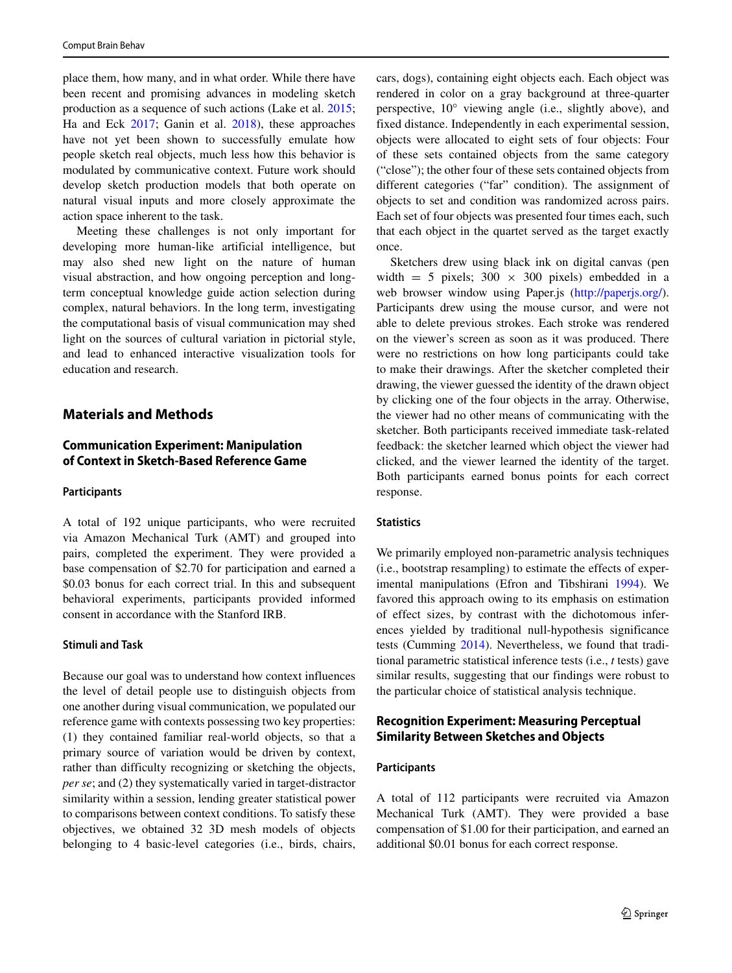place them, how many, and in what order. While there have been recent and promising advances in modeling sketch production as a sequence of such actions (Lake et al. [2015;](#page-15-30) Ha and Eck [2017;](#page-15-31) Ganin et al. [2018\)](#page-14-24), these approaches have not yet been shown to successfully emulate how people sketch real objects, much less how this behavior is modulated by communicative context. Future work should develop sketch production models that both operate on natural visual inputs and more closely approximate the action space inherent to the task.

Meeting these challenges is not only important for developing more human-like artificial intelligence, but may also shed new light on the nature of human visual abstraction, and how ongoing perception and longterm conceptual knowledge guide action selection during complex, natural behaviors. In the long term, investigating the computational basis of visual communication may shed light on the sources of cultural variation in pictorial style, and lead to enhanced interactive visualization tools for education and research.

# **Materials and Methods**

## **Communication Experiment: Manipulation of Context in Sketch-Based Reference Game**

#### **Participants**

A total of 192 unique participants, who were recruited via Amazon Mechanical Turk (AMT) and grouped into pairs, completed the experiment. They were provided a base compensation of \$2.70 for participation and earned a \$0.03 bonus for each correct trial. In this and subsequent behavioral experiments, participants provided informed consent in accordance with the Stanford IRB.

## **Stimuli and Task**

Because our goal was to understand how context influences the level of detail people use to distinguish objects from one another during visual communication, we populated our reference game with contexts possessing two key properties: (1) they contained familiar real-world objects, so that a primary source of variation would be driven by context, rather than difficulty recognizing or sketching the objects, *per se*; and (2) they systematically varied in target-distractor similarity within a session, lending greater statistical power to comparisons between context conditions. To satisfy these objectives, we obtained 32 3D mesh models of objects belonging to 4 basic-level categories (i.e., birds, chairs, cars, dogs), containing eight objects each. Each object was rendered in color on a gray background at three-quarter perspective, 10◦ viewing angle (i.e., slightly above), and fixed distance. Independently in each experimental session, objects were allocated to eight sets of four objects: Four of these sets contained objects from the same category ("close"); the other four of these sets contained objects from different categories ("far" condition). The assignment of objects to set and condition was randomized across pairs. Each set of four objects was presented four times each, such that each object in the quartet served as the target exactly once.

Sketchers drew using black ink on digital canvas (pen width = 5 pixels;  $300 \times 300$  pixels) embedded in a web browser window using Paper.js [\(http://paperjs.org/\)](http://paperjs.org/). Participants drew using the mouse cursor, and were not able to delete previous strokes. Each stroke was rendered on the viewer's screen as soon as it was produced. There were no restrictions on how long participants could take to make their drawings. After the sketcher completed their drawing, the viewer guessed the identity of the drawn object by clicking one of the four objects in the array. Otherwise, the viewer had no other means of communicating with the sketcher. Both participants received immediate task-related feedback: the sketcher learned which object the viewer had clicked, and the viewer learned the identity of the target. Both participants earned bonus points for each correct response.

## **Statistics**

We primarily employed non-parametric analysis techniques (i.e., bootstrap resampling) to estimate the effects of experimental manipulations (Efron and Tibshirani [1994\)](#page-14-25). We favored this approach owing to its emphasis on estimation of effect sizes, by contrast with the dichotomous inferences yielded by traditional null-hypothesis significance tests (Cumming [2014\)](#page-14-26). Nevertheless, we found that traditional parametric statistical inference tests (i.e., *t* tests) gave similar results, suggesting that our findings were robust to the particular choice of statistical analysis technique.

## **Recognition Experiment: Measuring Perceptual Similarity Between Sketches and Objects**

#### **Participants**

A total of 112 participants were recruited via Amazon Mechanical Turk (AMT). They were provided a base compensation of \$1.00 for their participation, and earned an additional \$0.01 bonus for each correct response.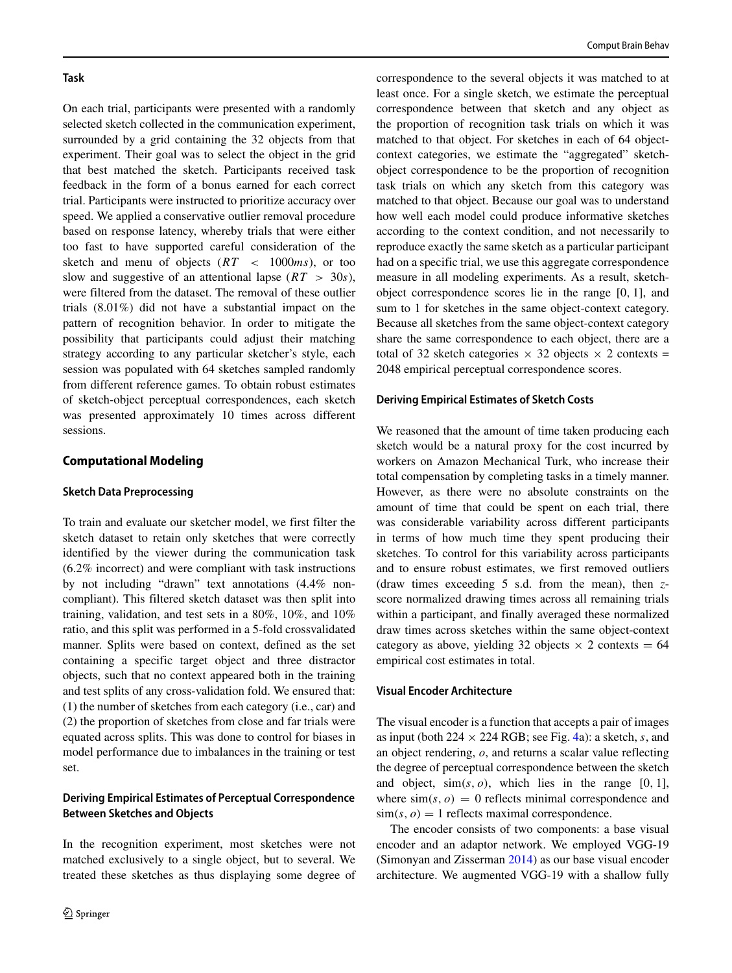## **Task**

On each trial, participants were presented with a randomly selected sketch collected in the communication experiment, surrounded by a grid containing the 32 objects from that experiment. Their goal was to select the object in the grid that best matched the sketch. Participants received task feedback in the form of a bonus earned for each correct trial. Participants were instructed to prioritize accuracy over speed. We applied a conservative outlier removal procedure based on response latency, whereby trials that were either too fast to have supported careful consideration of the sketch and menu of objects (*RT <* 1000*ms*), or too slow and suggestive of an attentional lapse  $(RT > 30s)$ , were filtered from the dataset. The removal of these outlier trials (8.01%) did not have a substantial impact on the pattern of recognition behavior. In order to mitigate the possibility that participants could adjust their matching strategy according to any particular sketcher's style, each session was populated with 64 sketches sampled randomly from different reference games. To obtain robust estimates of sketch-object perceptual correspondences, each sketch was presented approximately 10 times across different sessions.

## **Computational Modeling**

## **Sketch Data Preprocessing**

To train and evaluate our sketcher model, we first filter the sketch dataset to retain only sketches that were correctly identified by the viewer during the communication task (6.2% incorrect) and were compliant with task instructions by not including "drawn" text annotations (4.4% noncompliant). This filtered sketch dataset was then split into training, validation, and test sets in a 80%, 10%, and 10% ratio, and this split was performed in a 5-fold crossvalidated manner. Splits were based on context, defined as the set containing a specific target object and three distractor objects, such that no context appeared both in the training and test splits of any cross-validation fold. We ensured that: (1) the number of sketches from each category (i.e., car) and (2) the proportion of sketches from close and far trials were equated across splits. This was done to control for biases in model performance due to imbalances in the training or test set.

## **Deriving Empirical Estimates of Perceptual Correspondence Between Sketches and Objects**

In the recognition experiment, most sketches were not matched exclusively to a single object, but to several. We treated these sketches as thus displaying some degree of correspondence to the several objects it was matched to at least once. For a single sketch, we estimate the perceptual correspondence between that sketch and any object as the proportion of recognition task trials on which it was matched to that object. For sketches in each of 64 objectcontext categories, we estimate the "aggregated" sketchobject correspondence to be the proportion of recognition task trials on which any sketch from this category was matched to that object. Because our goal was to understand how well each model could produce informative sketches according to the context condition, and not necessarily to reproduce exactly the same sketch as a particular participant had on a specific trial, we use this aggregate correspondence measure in all modeling experiments. As a result, sketchobject correspondence scores lie in the range [0*,* 1], and sum to 1 for sketches in the same object-context category. Because all sketches from the same object-context category share the same correspondence to each object, there are a total of 32 sketch categories  $\times$  32 objects  $\times$  2 contexts = 2048 empirical perceptual correspondence scores.

## **Deriving Empirical Estimates of Sketch Costs**

We reasoned that the amount of time taken producing each sketch would be a natural proxy for the cost incurred by workers on Amazon Mechanical Turk, who increase their total compensation by completing tasks in a timely manner. However, as there were no absolute constraints on the amount of time that could be spent on each trial, there was considerable variability across different participants in terms of how much time they spent producing their sketches. To control for this variability across participants and to ensure robust estimates, we first removed outliers (draw times exceeding 5 s.d. from the mean), then *z*score normalized drawing times across all remaining trials within a participant, and finally averaged these normalized draw times across sketches within the same object-context category as above, yielding 32 objects  $\times$  2 contexts = 64 empirical cost estimates in total.

## **Visual Encoder Architecture**

The visual encoder is a function that accepts a pair of images as input (both 224 × 224 RGB; see Fig. [4a](#page-4-0)): a sketch, *s*, and an object rendering, *o*, and returns a scalar value reflecting the degree of perceptual correspondence between the sketch and object,  $\sin(s, o)$ , which lies in the range [0, 1], where  $\sin(s, o) = 0$  reflects minimal correspondence and  $\sin(s, \rho) = 1$  reflects maximal correspondence.

The encoder consists of two components: a base visual encoder and an adaptor network. We employed VGG-19 (Simonyan and Zisserman [2014\)](#page-15-15) as our base visual encoder architecture. We augmented VGG-19 with a shallow fully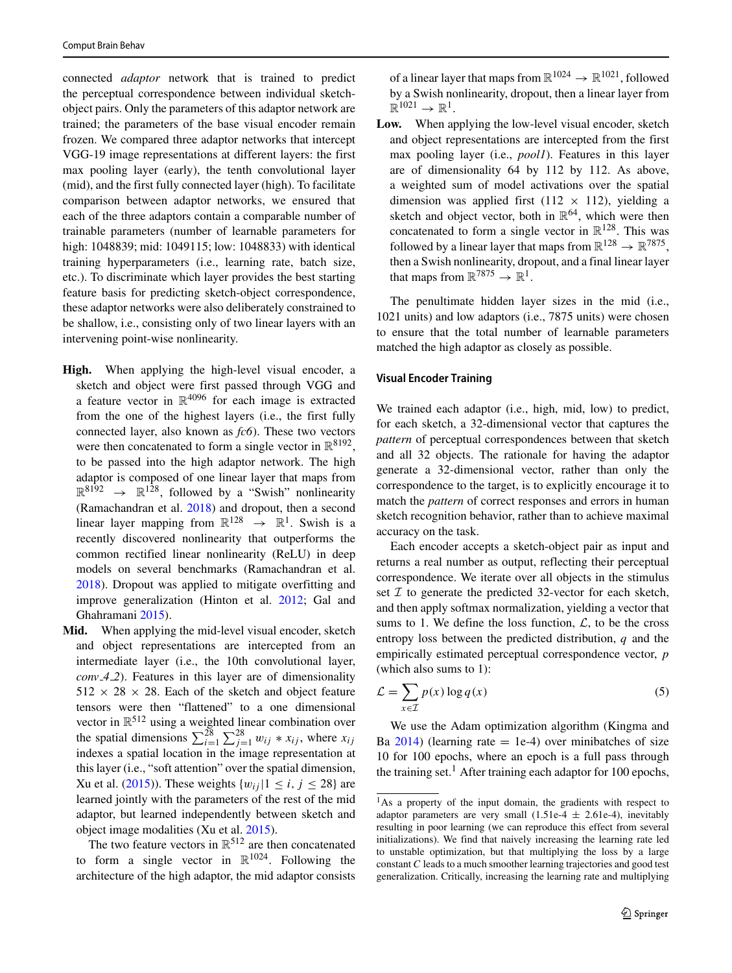connected *adaptor* network that is trained to predict the perceptual correspondence between individual sketchobject pairs. Only the parameters of this adaptor network are trained; the parameters of the base visual encoder remain frozen. We compared three adaptor networks that intercept VGG-19 image representations at different layers: the first max pooling layer (early), the tenth convolutional layer (mid), and the first fully connected layer (high). To facilitate comparison between adaptor networks, we ensured that each of the three adaptors contain a comparable number of trainable parameters (number of learnable parameters for high: 1048839; mid: 1049115; low: 1048833) with identical training hyperparameters (i.e., learning rate, batch size, etc.). To discriminate which layer provides the best starting feature basis for predicting sketch-object correspondence, these adaptor networks were also deliberately constrained to be shallow, i.e., consisting only of two linear layers with an intervening point-wise nonlinearity.

- **High.** When applying the high-level visual encoder, a sketch and object were first passed through VGG and a feature vector in  $\mathbb{R}^{4096}$  for each image is extracted from the one of the highest layers (i.e., the first fully connected layer, also known as *fc6*). These two vectors were then concatenated to form a single vector in  $\mathbb{R}^{8192}$ , to be passed into the high adaptor network. The high adaptor is composed of one linear layer that maps from  $\mathbb{R}^{81\overline{9}2} \rightarrow \mathbb{R}^{1\overline{2}8}$ , followed by a "Swish" nonlinearity (Ramachandran et al. [2018\)](#page-15-32) and dropout, then a second linear layer mapping from  $\mathbb{R}^{128} \rightarrow \mathbb{R}^1$ . Swish is a recently discovered nonlinearity that outperforms the common rectified linear nonlinearity (ReLU) in deep models on several benchmarks (Ramachandran et al. [2018\)](#page-15-32). Dropout was applied to mitigate overfitting and improve generalization (Hinton et al. [2012;](#page-15-33) Gal and Ghahramani [2015\)](#page-14-27).
- **Mid.** When applying the mid-level visual encoder, sketch and object representations are intercepted from an intermediate layer (i.e., the 10th convolutional layer, *conv 4 2*). Features in this layer are of dimensionality  $512 \times 28 \times 28$ . Each of the sketch and object feature tensors were then "flattened" to a one dimensional vector in  $\mathbb{R}^{512}$  using a weighted linear combination over the spatial dimensions  $\sum_{i=1}^{28} \sum_{j=1}^{28} w_{ij} * x_{ij}$ , where  $x_{ij}$ indexes a spatial location in the image representation at this layer (i.e., "soft attention" over the spatial dimension, Xu et al. [\(2015\)](#page-15-34)). These weights  $\{w_{ij} | 1 \le i, j \le 28\}$  are learned jointly with the parameters of the rest of the mid adaptor, but learned independently between sketch and object image modalities (Xu et al. [2015\)](#page-15-34).

The two feature vectors in  $\mathbb{R}^{512}$  are then concatenated to form a single vector in  $\mathbb{R}^{1024}$ . Following the architecture of the high adaptor, the mid adaptor consists of a linear layer that maps from  $\mathbb{R}^{1024} \rightarrow \mathbb{R}^{1021}$ , followed by a Swish nonlinearity, dropout, then a linear layer from  $\mathbb{R}^{1021} \rightarrow \mathbb{R}^1$ .

**Low.** When applying the low-level visual encoder, sketch and object representations are intercepted from the first max pooling layer (i.e., *pool1*). Features in this layer are of dimensionality 64 by 112 by 112. As above, a weighted sum of model activations over the spatial dimension was applied first (112  $\times$  112), yielding a sketch and object vector, both in  $\mathbb{R}^{64}$ , which were then concatenated to form a single vector in  $\mathbb{R}^{128}$ . This was followed by a linear layer that maps from  $\mathbb{R}^{128} \rightarrow \mathbb{R}^{7875}$ , then a Swish nonlinearity, dropout, and a final linear layer that maps from  $\mathbb{R}^{7875} \to \mathbb{R}^1$ .

The penultimate hidden layer sizes in the mid (i.e., 1021 units) and low adaptors (i.e., 7875 units) were chosen to ensure that the total number of learnable parameters matched the high adaptor as closely as possible.

#### **Visual Encoder Training**

We trained each adaptor (i.e., high, mid, low) to predict, for each sketch, a 32-dimensional vector that captures the *pattern* of perceptual correspondences between that sketch and all 32 objects. The rationale for having the adaptor generate a 32-dimensional vector, rather than only the correspondence to the target, is to explicitly encourage it to match the *pattern* of correct responses and errors in human sketch recognition behavior, rather than to achieve maximal accuracy on the task.

Each encoder accepts a sketch-object pair as input and returns a real number as output, reflecting their perceptual correspondence. We iterate over all objects in the stimulus set  $\mathcal I$  to generate the predicted 32-vector for each sketch, and then apply softmax normalization, yielding a vector that sums to 1. We define the loss function,  $\mathcal{L}$ , to be the cross entropy loss between the predicted distribution, *q* and the empirically estimated perceptual correspondence vector, *p* (which also sums to 1):

$$
\mathcal{L} = \sum_{x \in \mathcal{I}} p(x) \log q(x) \tag{5}
$$

We use the Adam optimization algorithm (Kingma and Ba  $2014$ ) (learning rate = 1e-4) over minibatches of size 10 for 100 epochs, where an epoch is a full pass through the training set.<sup>[1](#page-12-0)</sup> After training each adaptor for 100 epochs,

<span id="page-12-0"></span><sup>&</sup>lt;sup>1</sup>As a property of the input domain, the gradients with respect to adaptor parameters are very small  $(1.51e-4 \pm 2.61e-4)$ , inevitably resulting in poor learning (we can reproduce this effect from several initializations). We find that naively increasing the learning rate led to unstable optimization, but that multiplying the loss by a large constant *C* leads to a much smoother learning trajectories and good test generalization. Critically, increasing the learning rate and multiplying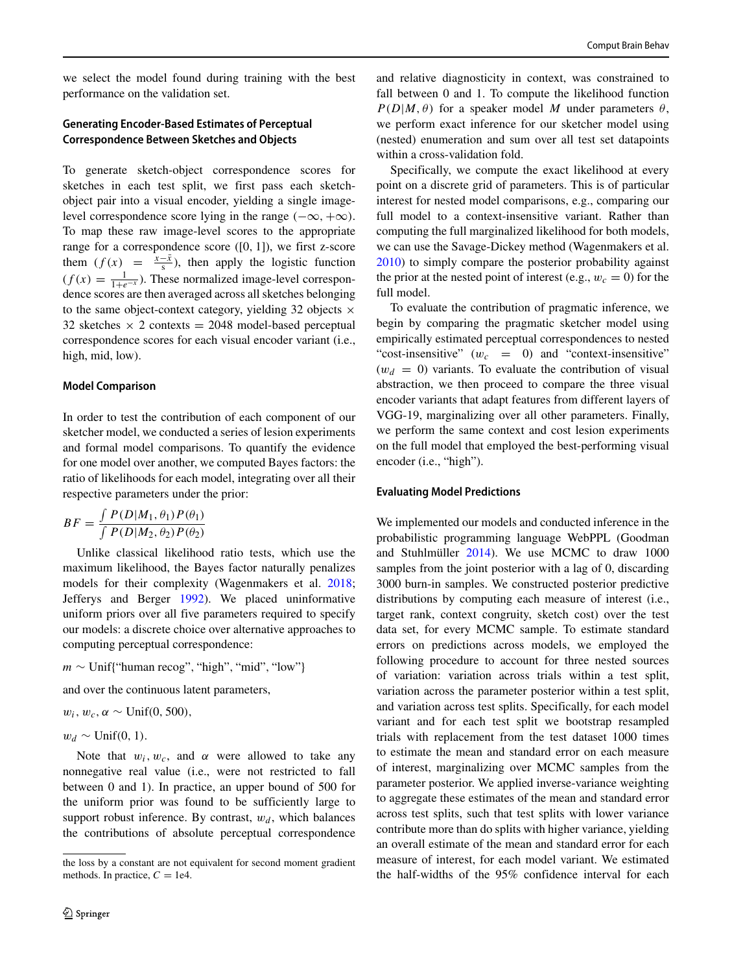we select the model found during training with the best performance on the validation set.

# **Generating Encoder-Based Estimates of Perceptual Correspondence Between Sketches and Objects**

To generate sketch-object correspondence scores for sketches in each test split, we first pass each sketchobject pair into a visual encoder, yielding a single imagelevel correspondence score lying in the range  $(-\infty, +\infty)$ . To map these raw image-level scores to the appropriate range for a correspondence score ([0*,* 1]), we first z-score them  $(f(x)) = \frac{x - \bar{x}}{s}$ , then apply the logistic function  $(f(x)) = \frac{1}{1+e^{-x}}$ . These normalized image-level correspondence scores are then averaged across all sketches belonging to the same object-context category, yielding 32 objects  $\times$ 32 sketches  $\times$  2 contexts = 2048 model-based perceptual correspondence scores for each visual encoder variant (i.e., high, mid, low).

## **Model Comparison**

In order to test the contribution of each component of our sketcher model, we conducted a series of lesion experiments and formal model comparisons. To quantify the evidence for one model over another, we computed Bayes factors: the ratio of likelihoods for each model, integrating over all their respective parameters under the prior:

$$
BF = \frac{\int P(D|M_1, \theta_1) P(\theta_1)}{\int P(D|M_2, \theta_2) P(\theta_2)}
$$

Unlike classical likelihood ratio tests, which use the maximum likelihood, the Bayes factor naturally penalizes models for their complexity (Wagenmakers et al. [2018;](#page-15-36) Jefferys and Berger [1992\)](#page-15-37). We placed uninformative uniform priors over all five parameters required to specify our models: a discrete choice over alternative approaches to computing perceptual correspondence:

*m* ∼ Unif{"human recog"*,* "high"*,* "mid"*,* "low"}

and over the continuous latent parameters,

 $w_i, w_c, \alpha \sim \text{Unif}(0, 500),$ 

 $w_d$  ∼ Unif(0, 1).

Note that  $w_i, w_c$ , and  $\alpha$  were allowed to take any nonnegative real value (i.e., were not restricted to fall between 0 and 1). In practice, an upper bound of 500 for the uniform prior was found to be sufficiently large to support robust inference. By contrast,  $w_d$ , which balances the contributions of absolute perceptual correspondence

and relative diagnosticity in context, was constrained to fall between 0 and 1. To compute the likelihood function  $P(D|M,\theta)$  for a speaker model *M* under parameters  $\theta$ , we perform exact inference for our sketcher model using (nested) enumeration and sum over all test set datapoints within a cross-validation fold.

Specifically, we compute the exact likelihood at every point on a discrete grid of parameters. This is of particular interest for nested model comparisons, e.g., comparing our full model to a context-insensitive variant. Rather than computing the full marginalized likelihood for both models, we can use the Savage-Dickey method (Wagenmakers et al. [2010\)](#page-15-38) to simply compare the posterior probability against the prior at the nested point of interest (e.g.,  $w_c = 0$ ) for the full model.

To evaluate the contribution of pragmatic inference, we begin by comparing the pragmatic sketcher model using empirically estimated perceptual correspondences to nested "cost-insensitive"  $(w_c = 0)$  and "context-insensitive"  $(w_d = 0)$  variants. To evaluate the contribution of visual abstraction, we then proceed to compare the three visual encoder variants that adapt features from different layers of VGG-19, marginalizing over all other parameters. Finally, we perform the same context and cost lesion experiments on the full model that employed the best-performing visual encoder (i.e., "high").

#### **Evaluating Model Predictions**

We implemented our models and conducted inference in the probabilistic programming language WebPPL (Goodman and Stuhlmüller  $2014$ ). We use MCMC to draw 1000 samples from the joint posterior with a lag of 0, discarding 3000 burn-in samples. We constructed posterior predictive distributions by computing each measure of interest (i.e., target rank, context congruity, sketch cost) over the test data set, for every MCMC sample. To estimate standard errors on predictions across models, we employed the following procedure to account for three nested sources of variation: variation across trials within a test split, variation across the parameter posterior within a test split, and variation across test splits. Specifically, for each model variant and for each test split we bootstrap resampled trials with replacement from the test dataset 1000 times to estimate the mean and standard error on each measure of interest, marginalizing over MCMC samples from the parameter posterior. We applied inverse-variance weighting to aggregate these estimates of the mean and standard error across test splits, such that test splits with lower variance contribute more than do splits with higher variance, yielding an overall estimate of the mean and standard error for each measure of interest, for each model variant. We estimated the half-widths of the 95% confidence interval for each

the loss by a constant are not equivalent for second moment gradient methods. In practice,  $C = 1e4$ .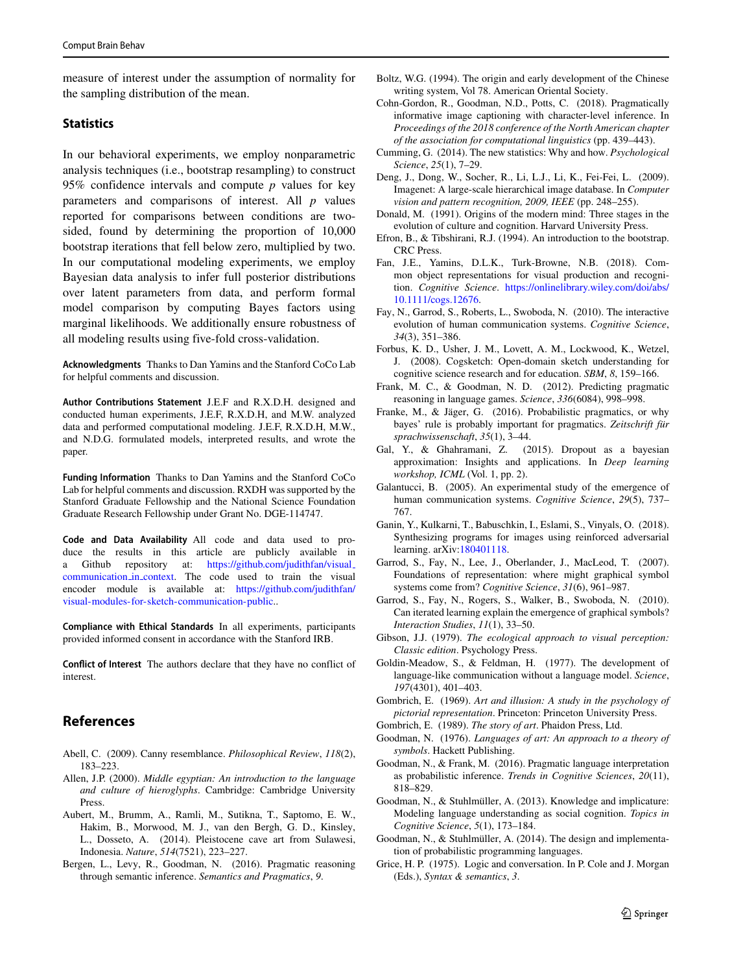measure of interest under the assumption of normality for the sampling distribution of the mean.

## **Statistics**

In our behavioral experiments, we employ nonparametric analysis techniques (i.e., bootstrap resampling) to construct 95% confidence intervals and compute *p* values for key parameters and comparisons of interest. All *p* values reported for comparisons between conditions are twosided, found by determining the proportion of 10,000 bootstrap iterations that fell below zero, multiplied by two. In our computational modeling experiments, we employ Bayesian data analysis to infer full posterior distributions over latent parameters from data, and perform formal model comparison by computing Bayes factors using marginal likelihoods. We additionally ensure robustness of all modeling results using five-fold cross-validation.

**Acknowledgments** Thanks to Dan Yamins and the Stanford CoCo Lab for helpful comments and discussion.

**Author Contributions Statement** J.E.F and R.X.D.H. designed and conducted human experiments, J.E.F, R.X.D.H, and M.W. analyzed data and performed computational modeling. J.E.F, R.X.D.H, M.W., and N.D.G. formulated models, interpreted results, and wrote the paper.

**Funding Information** Thanks to Dan Yamins and the Stanford CoCo Lab for helpful comments and discussion. RXDH was supported by the Stanford Graduate Fellowship and the National Science Foundation Graduate Research Fellowship under Grant No. DGE-114747.

**Code and Data Availability** All code and data used to produce the results in this article are publicly available in a Github repository at: [https://github.com/judithfan/visual](https://github.com/judithfan/visual_communication_in_context) [communication](https://github.com/judithfan/visual_communication_in_context) in context. The code used to train the visual encoder module is available at: [https://github.com/judithfan/](https://github.com/judithfan/visual-modules-for-sketch-communication-public) [visual-modules-for-sketch-communication-public.](https://github.com/judithfan/visual-modules-for-sketch-communication-public).

**Compliance with Ethical Standards** In all experiments, participants provided informed consent in accordance with the Stanford IRB.

**Conflict of Interest** The authors declare that they have no conflict of interest.

# **References**

- <span id="page-14-14"></span>Abell, C. (2009). Canny resemblance. *Philosophical Review*, *118*(2), 183–223.
- <span id="page-14-8"></span>Allen, J.P. (2000). *Middle egyptian: An introduction to the language and culture of hieroglyphs*. Cambridge: Cambridge University Press.
- <span id="page-14-1"></span>Aubert, M., Brumm, A., Ramli, M., Sutikna, T., Saptomo, E. W., Hakim, B., Morwood, M. J., van den Bergh, G. D., Kinsley, L., Dosseto, A. (2014). Pleistocene cave art from Sulawesi, Indonesia. *Nature*, *514*(7521), 223–227.
- <span id="page-14-18"></span>Bergen, L., Levy, R., Goodman, N. (2016). Pragmatic reasoning through semantic inference. *Semantics and Pragmatics*, *9*.
- <span id="page-14-7"></span>Boltz, W.G. (1994). The origin and early development of the Chinese writing system, Vol 78. American Oriental Society.
- <span id="page-14-20"></span>Cohn-Gordon, R., Goodman, N.D., Potts, C. (2018). Pragmatically informative image captioning with character-level inference. In *Proceedings of the 2018 conference of the North American chapter of the association for computational linguistics* (pp. 439–443).
- <span id="page-14-26"></span>Cumming, G. (2014). The new statistics: Why and how. *Psychological Science*, *25*(1), 7–29.
- <span id="page-14-19"></span>Deng, J., Dong, W., Socher, R., Li, L.J., Li, K., Fei-Fei, L. (2009). Imagenet: A large-scale hierarchical image database. In *Computer vision and pattern recognition, 2009, IEEE* (pp. 248–255).
- <span id="page-14-0"></span>Donald, M. (1991). Origins of the modern mind: Three stages in the evolution of culture and cognition. Harvard University Press.
- <span id="page-14-25"></span>Efron, B., & Tibshirani, R.J. (1994). An introduction to the bootstrap. CRC Press.
- <span id="page-14-2"></span>Fan, J.E., Yamins, D.L.K., Turk-Browne, N.B. (2018). Common object representations for visual production and recognition. *Cognitive Science*. [https://onlinelibrary.wiley.com/doi/abs/](https://onlinelibrary.wiley.com/doi/abs/10.1111/cogs.12676) [10.1111/cogs.12676.](https://onlinelibrary.wiley.com/doi/abs/10.1111/cogs.12676)
- <span id="page-14-10"></span>Fay, N., Garrod, S., Roberts, L., Swoboda, N. (2010). The interactive evolution of human communication systems. *Cognitive Science*, *34*(3), 351–386.
- <span id="page-14-23"></span>Forbus, K. D., Usher, J. M., Lovett, A. M., Lockwood, K., Wetzel, J. (2008). Cogsketch: Open-domain sketch understanding for cognitive science research and for education. *SBM*, *8*, 159–166.
- <span id="page-14-16"></span>Frank, M. C., & Goodman, N. D. (2012). Predicting pragmatic reasoning in language games. *Science*, *336*(6084), 998–998.
- <span id="page-14-17"></span>Franke, M., & Jäger, G. (2016). Probabilistic pragmatics, or why bayes' rule is probably important for pragmatics. Zeitschrift für *sprachwissenschaft*, *35*(1), 3–44.
- <span id="page-14-27"></span>Gal, Y., & Ghahramani, Z. (2015). Dropout as a bayesian approximation: Insights and applications. In *Deep learning workshop, ICML* (Vol. 1, pp. 2).
- <span id="page-14-11"></span>Galantucci, B. (2005). An experimental study of the emergence of human communication systems. *Cognitive Science*, *29*(5), 737– 767.
- <span id="page-14-24"></span>Ganin, Y., Kulkarni, T., Babuschkin, I., Eslami, S., Vinyals, O. (2018). Synthesizing programs for images using reinforced adversarial learning. arXiv[:180401118.](http://arxiv.org/abs/180401118)
- <span id="page-14-9"></span>Garrod, S., Fay, N., Lee, J., Oberlander, J., MacLeod, T. (2007). Foundations of representation: where might graphical symbol systems come from? *Cognitive Science*, *31*(6), 961–987.
- <span id="page-14-22"></span>Garrod, S., Fay, N., Rogers, S., Walker, B., Swoboda, N. (2010). Can iterated learning explain the emergence of graphical symbols? *Interaction Studies*, *11*(1), 33–50.
- <span id="page-14-3"></span>Gibson, J.J. (1979). *The ecological approach to visual perception: Classic edition*. Psychology Press.
- <span id="page-14-21"></span>Goldin-Meadow, S., & Feldman, H. (1977). The development of language-like communication without a language model. *Science*, *197*(4301), 401–403.
- <span id="page-14-6"></span>Gombrich, E. (1969). *Art and illusion: A study in the psychology of pictorial representation*. Princeton: Princeton University Press.
- <span id="page-14-5"></span>Gombrich, E. (1989). *The story of art*. Phaidon Press, Ltd.
- <span id="page-14-4"></span>Goodman, N. (1976). *Languages of art: An approach to a theory of symbols*. Hackett Publishing.
- <span id="page-14-12"></span>Goodman, N., & Frank, M. (2016). Pragmatic language interpretation as probabilistic inference. *Trends in Cognitive Sciences*, *20*(11), 818–829.
- <span id="page-14-15"></span>Goodman, N., & Stuhlmüller, A. (2013). Knowledge and implicature: Modeling language understanding as social cognition. *Topics in Cognitive Science*, *5*(1), 173–184.
- <span id="page-14-28"></span>Goodman, N., & Stuhlmüller, A. (2014). The design and implementation of probabilistic programming languages.
- <span id="page-14-13"></span>Grice, H. P. (1975). Logic and conversation. In P. Cole and J. Morgan (Eds.), *Syntax & semantics*, *3*.